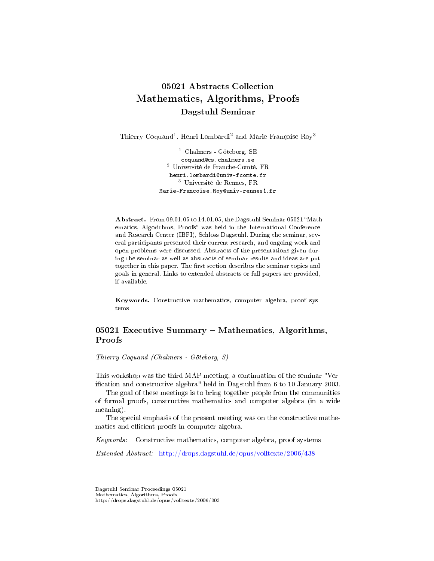# 05021 Abstracts Collection Mathematics, Algorithms, Proofs - Dagstuhl Seminar

Thierry Coquand<sup>1</sup>, Henri Lombardi<sup>2</sup> and Marie-Françoise Roy<sup>3</sup>

<sup>1</sup> Chalmers - Göteborg, SE coquand@cs.chalmers.se <sup>2</sup> Université de Franche-Comté, FR henri.lombardi@univ-fcomte.fr <sup>3</sup> Université de Rennes, FR Marie-Francoise.Roy@univ-rennes1.fr

Abstract. From 09.01.05 to 14.01.05, the Dagstuhl Seminar 05021 "Mathematics, Algorithms, Proofs" was held in the International Conference and Research Center (IBFI), Schloss Dagstuhl. During the seminar, several participants presented their current research, and ongoing work and open problems were discussed. Abstracts of the presentations given during the seminar as well as abstracts of seminar results and ideas are put together in this paper. The first section describes the seminar topics and goals in general. Links to extended abstracts or full papers are provided, if available.

Keywords. Constructive mathematics, computer algebra, proof systems

# 05021 Executive Summary  $-$  Mathematics, Algorithms, Proofs

Thierry Coquand (Chalmers - Göteborg, S)

This workshop was the third MAP meeting, a continuation of the seminar "Verification and constructive algebra" held in Dagstuhl from 6 to 10 January 2003.

The goal of these meetings is to bring together people from the communities of formal proofs, constructive mathematics and computer algebra (in a wide meaning).

The special emphasis of the present meeting was on the constructive mathematics and efficient proofs in computer algebra.

Keywords: Constructive mathematics, computer algebra, proof systems

Extended Abstract: <http://drops.dagstuhl.de/opus/volltexte/2006/438>

Dagstuhl Seminar Proceedings 05021 Mathematics, Algorithms, Proofs http://drops.dagstuhl.de/opus/volltexte/2006/303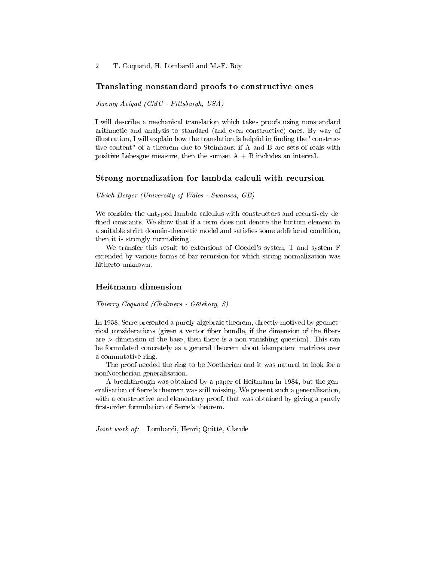2 T. Coquand, H. Lombardi and M.-F. Roy

#### Translating nonstandard proofs to constructive ones

Jeremy Avigad (CMU - Pittsburgh, USA)

I will describe a mechanical translation which takes proofs using nonstandard arithmetic and analysis to standard (and even constructive) ones. By way of illustration, I will explain how the translation is helpful in finding the "constructive content" of a theorem due to Steinhaus: if A and B are sets of reals with positive Lebesgue measure, then the sumset  $A + B$  includes an interval.

#### Strong normalization for lambda calculi with recursion

Ulrich Berger (University of Wales - Swansea, GB)

We consider the untyped lambda calculus with constructors and recursively de fined constants. We show that if a term does not denote the bottom element in a suitable strict domain-theoretic model and satisfies some additional condition, then it is strongly normalizing.

We transfer this result to extensions of Goedel's system T and system F extended by various forms of bar recursion for which strong normalization was hitherto unknown.

## Heitmann dimension

Thierry Coquand (Chalmers - Göteborg, S)

In 1958, Serre presented a purely algebraic theorem, directly motived by geometrical considerations (given a vector fiber bundle, if the dimension of the fibers  $are >$  dimension of the base, then there is a non vanishing question). This can be formulated concretely as a general theorem about idempotent matrices over a commutative ring.

The proof needed the ring to be Noetherian and it was natural to look for a nonNoetherian generalisation.

A breakthrough was obtained by a paper of Heitmann in 1984, but the generalisation of Serre's theorem was still missing. We present such a generalisation, with a constructive and elementary proof, that was obtained by giving a purely first-order formulation of Serre's theorem.

Joint work of: Lombardi, Henri; Quitté, Claude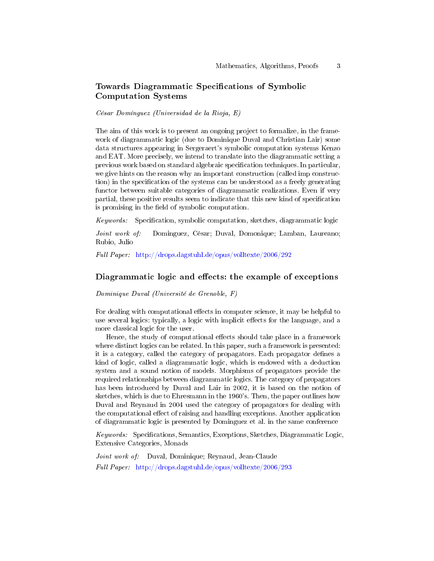# Towards Diagrammatic Specifications of Symbolic Computation Systems

César Domínguez (Universidad de la Rioja, E)

The aim of this work is to present an ongoing project to formalize, in the framework of diagrammatic logic (due to Dominique Duval and Christian Lair) some data structures appearing in Sergeraert's symbolic computation systems Kenzo and EAT. More precisely, we intend to translate into the diagrammatic setting a previous work based on standard algebraic specification techniques. In particular, we give hints on the reason why an important construction (called imp construction) in the specification of the systems can be understood as a freely generating functor between suitable categories of diagrammatic realizations. Even if very partial, these positive results seem to indicate that this new kind of specification is promising in the field of symbolic computation.

 $Keywords:$  Specification, symbolic computation, sketches, diagrammatic logic

Joint work of: Dominguez, César; Duval, Domonique; Lamban, Laureano; Rubio, Julio

Full Paper: <http://drops.dagstuhl.de/opus/volltexte/2006/292>

# Diagrammatic logic and effects: the example of exceptions

Dominique Duval (Université de Grenoble, F)

For dealing with computational effects in computer science, it may be helpful to use several logics: typically, a logic with implicit effects for the language, and a more classical logic for the user.

Hence, the study of computational effects should take place in a framework where distinct logics can be related. In this paper, such a framework is presented: it is a category, called the category of propagators. Each propagator defines a kind of logic, called a diagrammatic logic, which is endowed with a deduction system and a sound notion of models. Morphisms of propagators provide the required relationships between diagrammatic logics. The category of propagators has been introduced by Duval and Lair in 2002, it is based on the notion of sketches, which is due to Ehresmann in the 1960's. Then, the paper outlines how Duval and Reynaud in 2004 used the category of propagators for dealing with the computational effect of raising and handling exceptions. Another application of diagrammatic logic is presented by Dominguez et al. in the same conference

Keywords: Specifications, Semantics, Exceptions, Sketches, Diagrammatic Logic, Extensive Categories, Monads

Joint work of: Duval, Dominique; Reynaud, Jean-Claude Full Paper: <http://drops.dagstuhl.de/opus/volltexte/2006/293>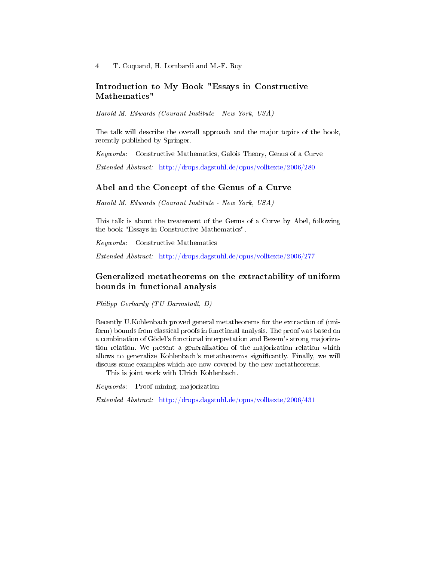# Introduction to My Book "Essays in Constructive Mathematics"

Harold M. Edwards (Courant Institute - New York, USA)

The talk will describe the overall approach and the major topics of the book, recently published by Springer.

Keywords: Constructive Mathematics, Galois Theory, Genus of a Curve

Extended Abstract: <http://drops.dagstuhl.de/opus/volltexte/2006/280>

# Abel and the Concept of the Genus of a Curve

Harold M. Edwards (Courant Institute - New York, USA)

This talk is about the treatement of the Genus of a Curve by Abel, following the book "Essays in Constructive Mathematics".

Keywords: Constructive Mathematics

Extended Abstract: <http://drops.dagstuhl.de/opus/volltexte/2006/277>

# Generalized metatheorems on the extractability of uniform bounds in functional analysis

Philipp Gerhardy (TU Darmstadt, D)

Recently U.Kohlenbach proved general metatheorems for the extraction of (uniform) bounds from classical proofs in functional analysis. The proof was based on a combination of Gödel's functional interpretation and Bezem's strong majorization relation. We present a generalization of the majorization relation which allows to generalize Kohlenbach's metatheorems signicantly. Finally, we will discuss some examples which are now covered by the new metatheorems.

This is joint work with Ulrich Kohlenbach.

Keywords: Proof mining, majorization

Extended Abstract: <http://drops.dagstuhl.de/opus/volltexte/2006/431>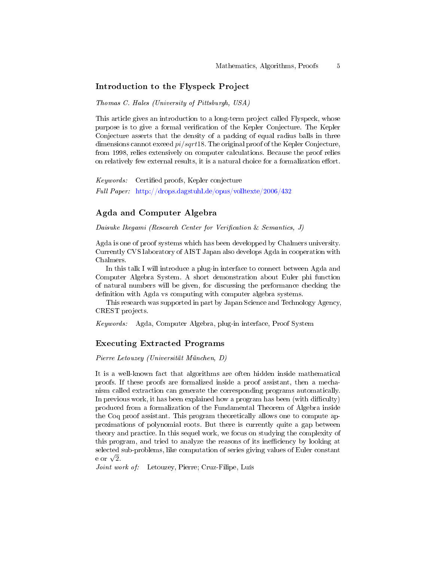#### Introduction to the Flyspeck Project

Thomas C. Hales (University of Pittsburgh, USA)

This article gives an introduction to a long-term project called Flyspeck, whose purpose is to give a formal verification of the Kepler Conjecture. The Kepler Conjecture asserts that the density of a packing of equal radius balls in three dimensions cannot exceed  $pi/sqrt18$ . The original proof of the Kepler Conjecture, from 1998, relies extensively on computer calculations. Because the proof relies on relatively few external results, it is a natural choice for a formalization effort.

Keywords: Certified proofs, Kepler conjecture Full Paper: <http://drops.dagstuhl.de/opus/volltexte/2006/432>

## Agda and Computer Algebra

Daisuke Ikegami (Research Center for Verification & Semantics, J)

Agda is one of proof systems which has been developped by Chalmers university. Currently CVS laboratory of AIST Japan also develops Agda in cooperation with Chalmers.

In this talk I will introduce a plug-in interface to connect between Agda and Computer Algebra System. A short demonstration about Euler phi function of natural numbers will be given, for discussing the performance checking the definition with Agda vs computing with computer algebra systems.

This research was supported in part by Japan Science and Technology Agency, CREST projects.

Keywords: Agda, Computer Algebra, plug-in interface, Proof System

# Executing Extracted Programs

Pierre Letouzey (Universität München, D)

It is a well-known fact that algorithms are often hidden inside mathematical proofs. If these proofs are formalized inside a proof assistant, then a mechanism called extraction can generate the corresponding programs automatically. In previous work, it has been explained how a program has been (with difficulty) produced from a formalization of the Fundamental Theorem of Algebra inside the Coq proof assistant. This program theoretically allows one to compute approximations of polynomial roots. But there is currently quite a gap between theory and practice. In this sequel work, we focus on studying the complexity of this program, and tried to analyze the reasons of its inefficiency by looking at selected sub-problems, like computation of series giving values of Euler constant seiectea<br>e or √2.

Joint work of: Letouzey, Pierre; Cruz-Filipe, Luís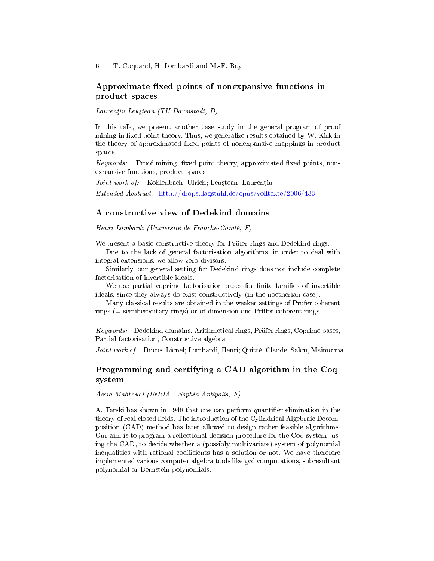# Approximate fixed points of nonexpansive functions in product spaces

 $Laurentiu$  Leustean (TU Darmstadt, D)

In this talk, we present another case study in the general program of proof mining in fixed point theory. Thus, we generalize results obtained by W. Kirk in the theory of approximated fixed points of nonexpansive mappings in product spaces.

 $Keywords:$  Proof mining, fixed point theory, approximated fixed points, nonexpansive functions, product spaces

Joint work of: Kohlenbach, Ulrich; Leuștean, Laurențiu

Extended Abstract: <http://drops.dagstuhl.de/opus/volltexte/2006/433>

#### A constructive view of Dedekind domains

Henri Lombardi (Université de Franche-Comté, F)

We present a basic constructive theory for Prüfer rings and Dedekind rings.

Due to the lack of general factorisation algorithms, in order to deal with integral extensions, we allow zero-divisors.

Similarly, our general setting for Dedekind rings does not include complete factorisation of invertible ideals.

We use partial coprime factorisation bases for finite families of invertible ideals, since they always do exist constructively (in the noetherian case).

Many classical results are obtained in the weaker settings of Prüfer coherent rings ( $=$  semihereditary rings) or of dimension one Prüfer coherent rings.

Keywords: Dedekind domains, Arithmetical rings, Prüfer rings, Coprime bases, Partial factorisation, Constructive algebra

Joint work of: Ducos, Lionel; Lombardi, Henri; Quitté, Claude; Salou, Maimouna

# Programming and certifying a CAD algorithm in the Coq system

Assia Mahboubi (INRIA - Sophia Antipolis, F)

A. Tarski has shown in 1948 that one can perform quantifier elimination in the theory of real closed fields. The introduction of the Cylindrical Algebraic Decomposition (CAD) method has later allowed to design rather feasible algorithms. Our aim is to program a reflectional decision procedure for the Coq system, using the CAD, to decide whether a (possibly multivariate) system of polynomial inequalities with rational coefficients has a solution or not. We have therefore implemented various computer algebra tools like gcd computations, subresultant polynomial or Bernstein polynomials.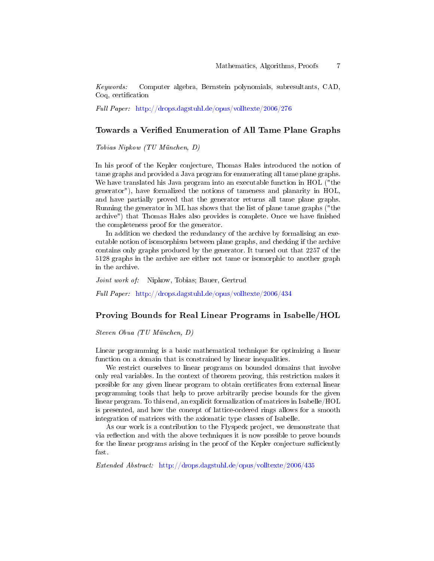Keywords: Computer algebra, Bernstein polynomials, subresultants, CAD, Coq, certification

Full Paper: <http://drops.dagstuhl.de/opus/volltexte/2006/276>

## Towards a Veried Enumeration of All Tame Plane Graphs

Tobias Nipkow (TU München, D)

In his proof of the Kepler conjecture, Thomas Hales introduced the notion of tame graphs and provided a Java program for enumerating all tame plane graphs. We have translated his Java program into an executable function in HOL ("the generator"), have formalized the notions of tameness and planarity in HOL, and have partially proved that the generator returns all tame plane graphs. Running the generator in ML has shows that the list of plane tame graphs ("the archive") that Thomas Hales also provides is complete. Once we have finished the completeness proof for the generator.

In addition we checked the redundancy of the archive by formalising an executable notion of isomorphism between plane graphs, and checking if the archive contains only graphs produced by the generator. It turned out that 2257 of the 5128 graphs in the archive are either not tame or isomorphic to another graph in the archive.

Joint work of: Nipkow, Tobias; Bauer, Gertrud Full Paper: <http://drops.dagstuhl.de/opus/volltexte/2006/434>

# Proving Bounds for Real Linear Programs in Isabelle/HOL

Steven Obua (TU München, D)

Linear programming is a basic mathematical technique for optimizing a linear function on a domain that is constrained by linear inequalities.

We restrict ourselves to linear programs on bounded domains that involve only real variables. In the context of theorem proving, this restriction makes it possible for any given linear program to obtain certificates from external linear programming tools that help to prove arbitrarily precise bounds for the given linear program. To this end, an explicit formalization of matrices in Isabelle/HOL is presented, and how the concept of lattice-ordered rings allows for a smooth integration of matrices with the axiomatic type classes of Isabelle.

As our work is a contribution to the Flyspeck project, we demonstrate that via reflection and with the above techniques it is now possible to prove bounds for the linear programs arising in the proof of the Kepler conjecture sufficiently fast.

Extended Abstract: <http://drops.dagstuhl.de/opus/volltexte/2006/435>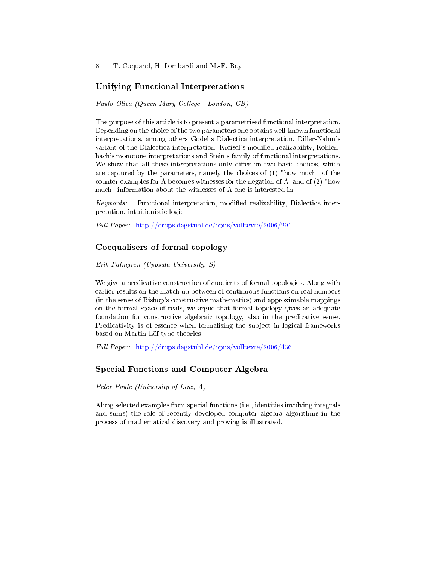8 T. Coquand, H. Lombardi and M.-F. Roy

# Unifying Functional Interpretations

Paulo Oliva (Queen Mary College - London, GB)

The purpose of this article is to present a parametrised functional interpretation. Depending on the choice of the two parameters one obtains well-known functional interpretations, among others Gödel's Dialectica interpretation, Diller-Nahm's variant of the Dialectica interpretation, Kreisel's modified realizability, Kohlenbach's monotone interpretations and Stein's family of functional interpretations. We show that all these interpretations only differ on two basic choices, which are captured by the parameters, namely the choices of (1) "how much" of the counter-examples for A becomes witnesses for the negation of A, and of (2) "how much" information about the witnesses of A one is interested in.

Keywords: Functional interpretation, modied realizability, Dialectica interpretation, intuitionistic logic

Full Paper: <http://drops.dagstuhl.de/opus/volltexte/2006/291>

# Coequalisers of formal topology

Erik Palmgren (Uppsala University, S)

We give a predicative construction of quotients of formal topologies. Along with earlier results on the match up between of continuous functions on real numbers (in the sense of Bishop's constructive mathematics) and approximable mappings on the formal space of reals, we argue that formal topology gives an adequate foundation for constructive algebraic topology, also in the predicative sense. Predicativity is of essence when formalising the subject in logical frameworks based on Martin-Löf type theories.

Full Paper: <http://drops.dagstuhl.de/opus/volltexte/2006/436>

#### Special Functions and Computer Algebra

Peter Paule (University of Linz, A)

Along selected examples from special functions (i.e., identities involving integrals and sums) the role of recently developed computer algebra algorithms in the process of mathematical discovery and proving is illustrated.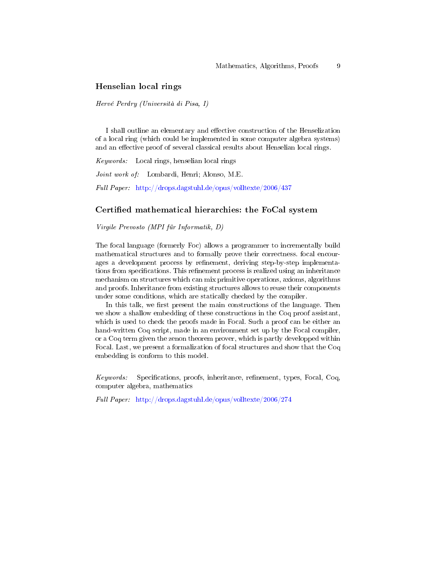# Henselian local rings

Hervé Perdry (Università di Pisa, I)

I shall outline an elementary and effective construction of the Henselization of a local ring (which could be implemented in some computer algebra systems) and an effective proof of several classical results about Henselian local rings.

Keywords: Local rings, henselian local rings

Joint work of: Lombardi, Henri; Alonso, M.E.

Full Paper: <http://drops.dagstuhl.de/opus/volltexte/2006/437>

# Certified mathematical hierarchies: the FoCal system

Virgile Prevosto (MPI für Informatik, D)

The focal language (formerly Foc) allows a programmer to incrementally build mathematical structures and to formally prove their correctness. focal encourages a development process by refinement, deriving step-by-step implementations from specifications. This refinement process is realized using an inheritance mechanism on structures which can mix primitive operations, axioms, algorithms and proofs. Inheritance from existing structures allows to reuse their components under some conditions, which are statically checked by the compiler.

In this talk, we first present the main constructions of the language. Then we show a shallow embedding of these constructions in the Coq proof assistant, which is used to check the proofs made in Focal. Such a proof can be either an hand-written Coq script, made in an environment set up by the Focal compiler, or a Coq term given the zenon theorem prover, which is partly developped within Focal. Last, we present a formalization of focal structures and show that the Coq embedding is conform to this model.

Keywords: Specifications, proofs, inheritance, refinement, types, Focal, Coq, computer algebra, mathematics

Full Paper: <http://drops.dagstuhl.de/opus/volltexte/2006/274>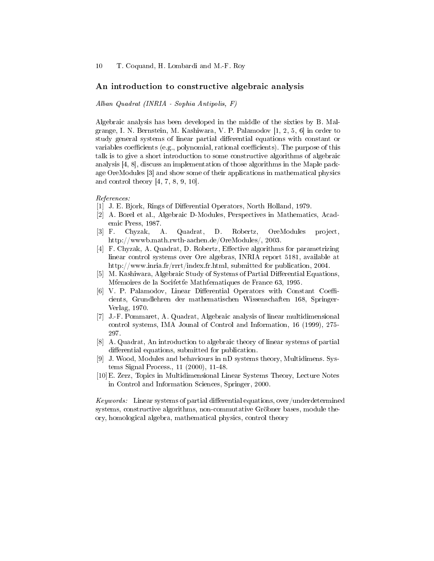10 T. Coquand, H. Lombardi and M.-F. Roy

#### An introduction to constructive algebraic analysis

Alban Quadrat (INRIA - Sophia Antipolis, F)

Algebraic analysis has been developed in the middle of the sixties by B. Malgrange, I. N. Bernstein, M. Kashiwara, V. P. Palamodov [1, 2, 5, 6] in order to study general systems of linear partial differential equations with constant or variables coefficients (e.g., polynomial, rational coefficients). The purpose of this talk is to give a short introduction to some constructive algorithms of algebraic analysis [4, 8], discuss an implementation of those algorithms in the Maple package OreModules [3] and show some of their applications in mathematical physics and control theory [4, 7, 8, 9, 10].

References:

- [1] J. E. Bjork, Rings of Differential Operators, North Holland, 1979.
- [2] A. Borel et al., Algebraic D-Modules, Perspectives in Mathematics, Academic Press, 1987.
- [3] F. Chyzak, A. Quadrat, D. Robertz, OreModules project, http://wwwb.math.rwth-aachen.de/OreModules/, 2003.
- [4] F. Chyzak, A. Quadrat, D. Robertz, Effective algorithms for parametrizing linear control systems over Ore algebras, INRIA report 5181, available at http://www.inria.fr/rrrt/index.fr.html, submitted for publication, 2004.
- [5] M. Kashiwara, Algebraic Study of Systems of Partial Differential Equations, M'emoires de la Socifette Mathtematiques de France 63, 1995.
- [6] V. P. Palamodov, Linear Differential Operators with Constant Coefficients, Grundlehren der mathematischen Wissenschaften 168, Springer-Verlag, 1970.
- [7] J.-F. Pommaret, A. Quadrat, Algebraic analysis of linear multidimensional control systems, IMA Jounal of Control and Information, 16 (1999), 275- 297.
- [8] A. Quadrat, An introduction to algebraic theory of linear systems of partial differential equations, submitted for publication.
- [9] J. Wood, Modules and behaviours in nD systems theory, Multidimens. Systems Signal Process., 11 (2000), 11-48.
- [10]E. Zerz, Topics in Multidimensional Linear Systems Theory, Lecture Notes in Control and Information Sciences, Springer, 2000.

 $Keywords:$  Linear systems of partial differential equations, over/underdetermined systems, constructive algorithms, non-commutative Gröbner bases, module theory, homological algebra, mathematical physics, control theory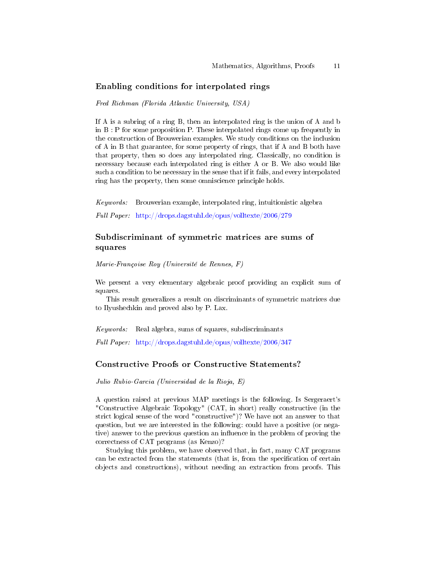## Enabling conditions for interpolated rings

Fred Richman (Florida Atlantic University, USA)

If A is a subring of a ring B, then an interpolated ring is the union of A and b in B : P for some proposition P. These interpolated rings come up frequently in the construction of Brouwerian examples. We study conditions on the inclusion of A in B that guarantee, for some property of rings, that if A and B both have that property, then so does any interpolated ring. Classically, no condition is necessary because each interpolated ring is either A or B. We also would like such a condition to be necessary in the sense that if it fails, and every interpolated ring has the property, then some omniscience principle holds.

Keywords: Brouwerian example, interpolated ring, intuitionistic algebra

Full Paper: <http://drops.dagstuhl.de/opus/volltexte/2006/279>

# Subdiscriminant of symmetric matrices are sums of squares

Marie-Françoise Roy (Université de Rennes, F)

We present a very elementary algebraic proof providing an explicit sum of squares.

This result generalizes a result on discriminants of symmetric matrices due to Ilyushechkin and proved also by P. Lax.

 $Keywords:$  Real algebra, sums of squares, subdiscriminants

Full Paper: <http://drops.dagstuhl.de/opus/volltexte/2006/347>

## Constructive Proofs or Constructive Statements?

Julio Rubio-Garcia (Universidad de la Rioja, E)

A question raised at previous MAP meetings is the following. Is Sergeraert's "Constructive Algebraic Topology" (CAT, in short) really constructive (in the strict logical sense of the word "constructive")? We have not an answer to that question, but we are interested in the following: could have a positive (or negative) answer to the previous question an influence in the problem of proving the correctness of CAT programs (as Kenzo)?

Studying this problem, we have observed that, in fact, many CAT programs can be extracted from the statements (that is, from the specification of certain objects and constructions), without needing an extraction from proofs. This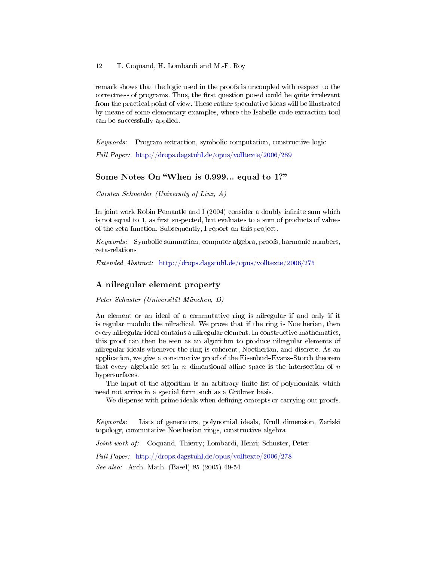remark shows that the logic used in the proofs is uncoupled with respect to the correctness of programs. Thus, the first question posed could be quite irrelevant from the practical point of view. These rather speculative ideas will be illustrated by means of some elementary examples, where the Isabelle code extraction tool can be successfully applied.

Keywords: Program extraction, symbolic computation, constructive logic

Full Paper: <http://drops.dagstuhl.de/opus/volltexte/2006/289>

# Some Notes On "When is 0.999... equal to 1?"

Carsten Schneider (University of Linz, A)

In joint work Robin Pemantle and I  $(2004)$  consider a doubly infinite sum which is not equal to  $1$ , as first suspected, but evaluates to a sum of products of values of the zeta function. Subsequently, I report on this project.

Keywords: Symbolic summation, computer algebra, proofs, harmonic numbers, zeta-relations

Extended Abstract: <http://drops.dagstuhl.de/opus/volltexte/2006/275>

# A nilregular element property

Peter Schuster (Universität München, D)

An element or an ideal of a commutative ring is nilregular if and only if it is regular modulo the nilradical. We prove that if the ring is Noetherian, then every nilregular ideal contains a nilregular element. In constructive mathematics, this proof can then be seen as an algorithm to produce nilregular elements of nilregular ideals whenever the ring is coherent, Noetherian, and discrete. As an application, we give a constructive proof of the Eisenbud-Evans-Storch theorem that every algebraic set in *n*-dimensional affine space is the intersection of n hypersurfaces.

The input of the algorithm is an arbitrary finite list of polynomials, which need not arrive in a special form such as a Gröbner basis.

We dispense with prime ideals when defining concepts or carrying out proofs.

Keywords: Lists of generators, polynomial ideals, Krull dimension, Zariski topology, commutative Noetherian rings, constructive algebra

Joint work of: Coquand, Thierry; Lombardi, Henri; Schuster, Peter

Full Paper: <http://drops.dagstuhl.de/opus/volltexte/2006/278>

See also: Arch. Math. (Basel) 85 (2005) 49-54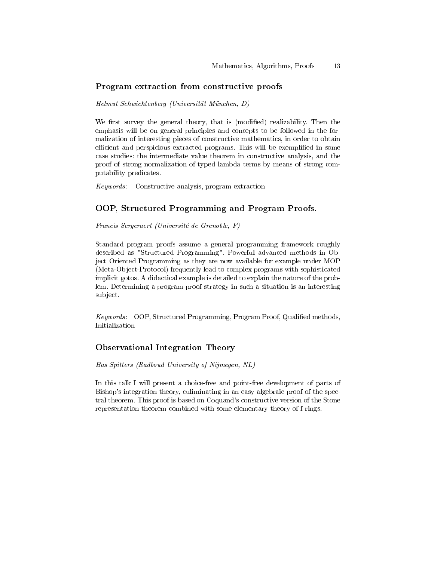# Program extraction from constructive proofs

#### Helmut Schwichtenberg (Universität München, D)

We first survey the general theory, that is (modified) realizability. Then the emphasis will be on general principles and concepts to be followed in the formalization of interesting pieces of constructive mathematics, in order to obtain efficient and perspicious extracted programs. This will be exemplified in some case studies: the intermediate value theorem in constructive analysis, and the proof of strong normalization of typed lambda terms by means of strong computability predicates.

Keywords: Constructive analysis, program extraction

# OOP, Structured Programming and Program Proofs.

Francis Sergeraert (Université de Grenoble, F)

Standard program proofs assume a general programming framework roughly described as "Structured Programming". Powerful advanced methods in Object Oriented Programming as they are now available for example under MOP (Meta-Object-Protocol) frequently lead to complex programs with sophisticated implicit gotos. A didactical example is detailed to explain the nature of the problem. Determining a program proof strategy in such a situation is an interesting subject.

Keywords: OOP, Structured Programming, Program Proof, Qualified methods, Initialization

## Observational Integration Theory

Bas Spitters (Radboud University of Nijmegen, NL)

In this talk I will present a choice-free and point-free development of parts of Bishop's integration theory, culiminating in an easy algebraic proof of the spectral theorem. This proof is based on Coquand's constructive version of the Stone representation theorem combined with some elementary theory of f-rings.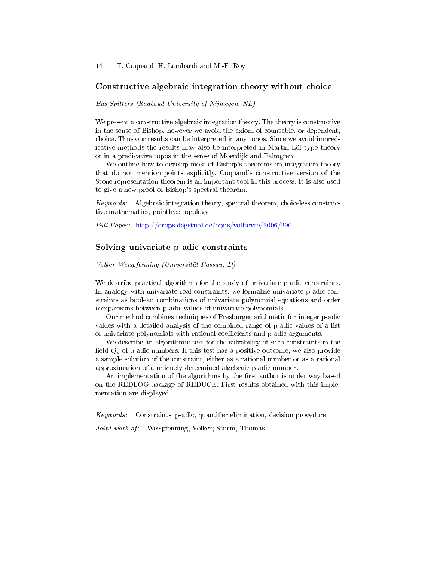#### Constructive algebraic integration theory without choice

Bas Spitters (Radboud University of Nijmegen, NL)

We present a constructive algebraic integration theory. The theory is constructive in the sense of Bishop, however we avoid the axiom of countable, or dependent, choice. Thus our results can be interpreted in any topos. Since we avoid impredicative methods the results may also be interpreted in Martin-Löf type theory or in a predicative topos in the sense of Moerdijk and Palmgren.

We outline how to develop most of Bishop's theorems on integration theory that do not mention points explicitly. Coquand's constructive version of the Stone representation theorem is an important tool in this process. It is also used to give a new proof of Bishop's spectral theorem.

Keywords: Algebraic integration theory, spectral theorem, choiceless constructive mathematics, pointfree topology

Full Paper: <http://drops.dagstuhl.de/opus/volltexte/2006/290>

## Solving univariate p-adic constraints

Volker Weispfenning (Universität Passau, D)

We describe practical algorithms for the study of univariate p-adic constraints. In analogy with univariate real constraints, we formalize univariate p-adic constraints as boolean combinations of univariate polynomial equations and order comparisons between p-adic values of univariate polynomials.

Our method combines techniques of Presburger arithmetic for integer p-adic values with a detailed analysis of the combined range of p-adic values of a list of univariate polynomials with rational coefficients and p-adic arguments.

We describe an algorithmic test for the solvability of such constraints in the field  $Q_p$  of p-adic numbers. If this test has a positive outcome, we also provide a sample solution of the constraint, either as a rational number or as a rational approximation of a uniquely determined algebraic p-adic number.

An implementation of the algorithms by the first author is under way based on the REDLOG-package of REDUCE. First results obtained with this implementation are displayed.

Keywords: Constraints, p-adic, quantifier elimination, decision procedure

Joint work of: Weispfenning, Volker; Sturm, Thomas